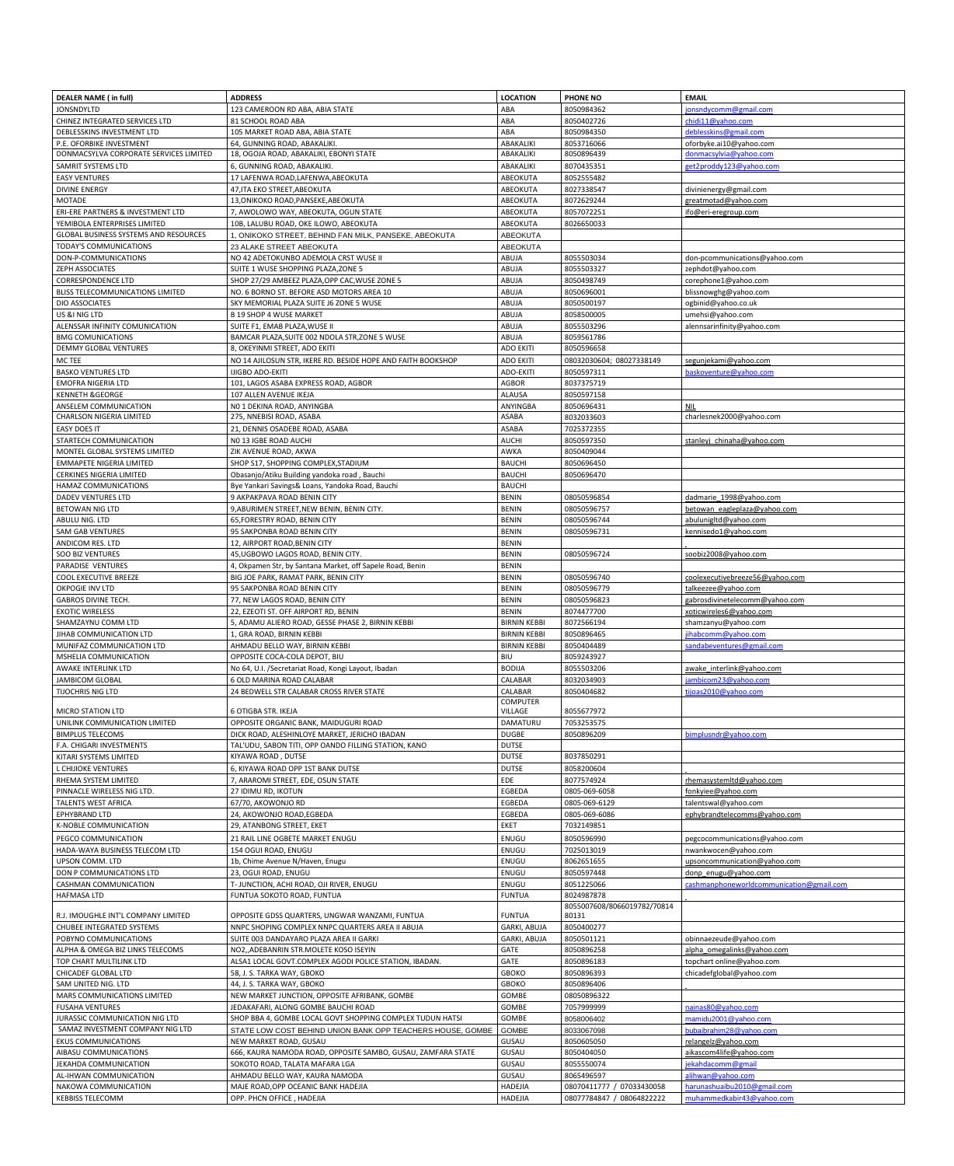| <b>DEALER NAME (in full)</b>                 | <b>ADDRESS</b>                                               | <b>LOCATION</b>              | <b>PHONE NO</b>             | <b>EMAIL</b>                             |
|----------------------------------------------|--------------------------------------------------------------|------------------------------|-----------------------------|------------------------------------------|
|                                              |                                                              |                              |                             |                                          |
| <b>JONSNDYLTD</b>                            | 123 CAMEROON RD ABA, ABIA STATE                              | ABA                          | 8050984362                  | jonsndycomm@gmail.com                    |
| CHINEZ INTEGRATED SERVICES LTD               | 81 SCHOOL ROAD ABA                                           | ABA                          | 8050402726                  | chidi11@yahoo.com                        |
| DEBLESSKINS INVESTMENT LTD                   | 105 MARKET ROAD ABA, ABIA STATE                              | ABA                          | 8050984350                  | deblesskins@gmail.com                    |
| P.E. OFORBIKE INVESTMENT                     | 64, GUNNING ROAD, ABAKALIKI.                                 | ABAKALIKI                    | 8053716066                  | oforbyke.ai10@yahoo.com                  |
| DONMACSYLVA CORPORATE SERVICES LIMITED       | 18, OGOJA ROAD, ABAKALIKI, EBONYI STATE                      | ABAKALIKI                    | 8050896439                  | donmacsylvia@yahoo.com                   |
| <b>SAMRIT SYSTEMS LTD</b>                    | 6, GUNNING ROAD, ABAKALIKI.                                  | ABAKALIKI                    | 8070435351                  | get2proddy123@yahoo.com                  |
| <b>EASY VENTURES</b>                         | 17 LAFENWA ROAD, LAFENWA, ABEOKUTA                           | <b>ABEOKUTA</b>              | 8052555482                  |                                          |
| <b>DIVINE ENERGY</b>                         | 47, ITA EKO STREET, ABEOKUTA                                 | ABEOKUTA                     | 8027338547                  | divinienergy@gmail.com                   |
| <b>MOTADE</b>                                | 13, ONIKOKO ROAD, PANSEKE, ABEOKUTA                          | ABEOKUTA                     | 8072629244                  | greatmotad@yahoo.com                     |
| ERI-ERE PARTNERS & INVESTMENT LTD            | 7, AWOLOWO WAY, ABEOKUTA, OGUN STATE                         | ABEOKUTA                     | 8057072251                  | ifo@eri-eregroup.com                     |
|                                              |                                                              |                              |                             |                                          |
| YEMIBOLA ENTERPRISES LIMITED                 | 10B, LALUBU ROAD, OKE ILOWO, ABEOKUTA                        | ABEOKUTA                     | 8026650033                  |                                          |
| <b>GLOBAL BUSINESS SYSTEMS AND RESOURCES</b> | 1, ONIKOKO STREET, BEHIND FAN MILK, PANSEKE, ABEOKUTA        | <b>ABEOKUTA</b>              |                             |                                          |
| TODAY'S COMMUNICATIONS                       | 23 ALAKE STREET ABEOKUTA                                     | <b>ABEOKUTA</b>              |                             |                                          |
| DON-P-COMMUNICATIONS                         | NO 42 ADETOKUNBO ADEMOLA CRST WUSE II                        | ABUJA                        | 8055503034                  | don-pcommunications@yahoo.com            |
| ZEPH ASSOCIATES                              | SUITE 1 WUSE SHOPPING PLAZA, ZONE 5                          | ABUJA                        | 8055503327                  | zephdot@yahoo.com                        |
| <b>CORRESPONDENCE LTD</b>                    | SHOP 27/29 AMBEEZ PLAZA, OPP CAC, WUSE ZONE 5                | ABUJA                        | 8050498749                  | corephone1@yahoo.com                     |
| <b>BLISS TELECOMMUNICATIONS LIMITED</b>      | NO. 6 BORNO ST. BEFORE ASD MOTORS AREA 10                    | ABUJA                        | 8050696001                  | blissnowghg@yahoo.com                    |
| DIO ASSOCIATES                               | SKY MEMORIAL PLAZA SUITE J6 ZONE 5 WUSE                      | ABUJA                        | 8050500197                  | ogbinid@yahoo.co.uk                      |
| US &I NIG LTD                                | <b>B 19 SHOP 4 WUSE MARKET</b>                               | ABUJA                        | 8058500005                  | umehsi@yahoo.com                         |
| ALENSSAR INFINITY COMUNICATION               | SUITE F1, EMAB PLAZA, WUSE II                                | ABUJA                        | 8055503296                  | alennsarinfinity@yahoo.com               |
| <b>BMG COMUNICATIONS</b>                     | BAMCAR PLAZA, SUITE 002 NDOLA STR, ZONE 5 WUSE               | ABUJA                        | 8059561786                  |                                          |
| DEMMY GLOBAL VENTURES                        | 8, OKEYINMI STREET, ADO EKITI                                | <b>ADO EKITI</b>             | 8050596658                  |                                          |
|                                              |                                                              |                              |                             |                                          |
| MC TEE                                       | NO 14 AJILOSUN STR, IKERE RD. BESIDE HOPE AND FAITH BOOKSHOP | <b>ADO EKITI</b>             | 08032030604; 08027338149    | segunjekami@yahoo.com                    |
| <b>BASKO VENTURES LTD</b>                    | <b>IJIGBO ADO-EKITI</b>                                      | <b>ADO-EKITI</b>             | 8050597311                  | baskoventure@yahoo.com                   |
| <b>EMOFRA NIGERIA LTD</b>                    | 101, LAGOS ASABA EXPRESS ROAD, AGBOR                         | <b>AGBOR</b>                 | 8037375719                  |                                          |
| <b>KENNETH &amp;GEORGE</b>                   | 107 ALLEN AVENUE IKEJA                                       | <b>ALAUSA</b>                | 8050597158                  |                                          |
| ANSELEM COMMUNICATION                        | NO 1 DEKINA ROAD, ANYINGBA                                   | <b>ANYINGBA</b>              | 8050696431                  | <b>NIL</b>                               |
| <b>CHARLSON NIGERIA LIMITED</b>              | 275, NNEBISI ROAD, ASABA                                     | <b>ASABA</b>                 | 8032033603                  | charlesnek2000@yahoo.com                 |
| <b>EASY DOES IT</b>                          | 21, DENNIS OSADEBE ROAD, ASABA                               | <b>ASABA</b>                 | 7025372355                  |                                          |
| <b>STARTECH COMMUNICATION</b>                | NO 13 IGBE ROAD AUCHI                                        | <b>AUCHI</b>                 | 8050597350                  | stanleyj_chinaha@yahoo.com               |
| MONTEL GLOBAL SYSTEMS LIMITED                | ZIK AVENUE ROAD, AKWA                                        | AWKA                         | 8050409044                  |                                          |
| <b>EMMAPETE NIGERIA LIMITED</b>              | SHOP S17, SHOPPING COMPLEX, STADIUM                          | <b>BAUCHI</b>                | 8050696450                  |                                          |
| <b>CERKINES NIGERIA LIMITED</b>              | Obasanjo/Atiku Building yandoka road, Bauchi                 | <b>BAUCHI</b>                | 8050696470                  |                                          |
|                                              |                                                              |                              |                             |                                          |
| HAMAZ COMMUNICATIONS                         | Bye Yankari Savings& Loans, Yandoka Road, Bauchi             | <b>BAUCHI</b>                |                             |                                          |
| <b>DADEV VENTURES LTD</b>                    | 9 AKPAKPAVA ROAD BENIN CITY                                  | <b>BENIN</b>                 | 08050596854                 | dadmarie 1998@yahoo.com                  |
| <b>BETOWAN NIG LTD</b>                       | 9, ABURIMEN STREET, NEW BENIN, BENIN CITY.                   | <b>BENIN</b>                 | 08050596757                 | betowan_eagleplaza@yahoo.com             |
| ABULU NIG. LTD                               | 65, FORESTRY ROAD, BENIN CITY                                | <b>BENIN</b>                 | 08050596744                 | abulunigltd@yahoo.com                    |
| <b>SAM GAB VENTURES</b>                      | 95 SAKPONBA ROAD BENIN CITY                                  | <b>BENIN</b>                 | 08050596731                 | kennisedo1@yahoo.com                     |
| ANDICOM RES. LTD                             | 12, AIRPORT ROAD, BENIN CITY                                 | <b>BENIN</b>                 |                             |                                          |
| <b>SOO BIZ VENTURES</b>                      | 45, UGBOWO LAGOS ROAD, BENIN CITY.                           | <b>BENIN</b>                 | 08050596724                 | soobiz2008@yahoo.com                     |
| <b>PARADISE VENTURES</b>                     | 4, Okpamen Str, by Santana Market, off Sapele Road, Benin    | <b>BENIN</b>                 |                             |                                          |
| <b>COOL EXECUTIVE BREEZE</b>                 | BIG JOE PARK, RAMAT PARK, BENIN CITY                         | <b>BENIN</b>                 | 08050596740                 | coolexecutivebreeze56@yahoo.com          |
|                                              |                                                              |                              |                             |                                          |
| OKPOGIE INV LTD                              | 95 SAKPONBA ROAD BENIN CITY                                  | <b>BENIN</b>                 | 08050596779                 | talkeezee@yahoo.com                      |
| <b>GABROS DIVINE TECH.</b>                   | 77, NEW LAGOS ROAD, BENIN CITY                               | <b>BENIN</b>                 | 08050596823                 | gabrosdivinetelecomm@yahoo.com           |
| <b>EXOTIC WIRELESS</b>                       | 22, EZEOTI ST. OFF AIRPORT RD, BENIN                         | <b>BENIN</b>                 | 8074477700                  | xoticwireles6@yahoo.com                  |
| SHAMZAYNU COMM LTD                           | 5, ADAMU ALIERO ROAD, GESSE PHASE 2, BIRNIN KEBBI            | <b>BIRNIN KEBBI</b>          | 8072566194                  | shamzanyu@yahoo.com                      |
| JIHAB COMMUNICATION LTD                      | 1, GRA ROAD, BIRNIN KEBBI                                    | <b>BIRNIN KEBBI</b>          | 8050896465                  | jihabcomm@yahoo.com                      |
| MUNIFAZ COMMUNICATION LTD                    | AHMADU BELLO WAY, BIRNIN KEBBI                               | <b>BIRNIN KEBBI</b>          | 8050404489                  | sandabeventures@gmail.com                |
| MSHELIA COMMUNICATION                        | OPPOSITE COCA-COLA DEPOT, BIU                                | <b>BIU</b>                   | 8059243927                  |                                          |
| AWAKE INTERLINK LTD                          | No 64, U.I. /Secretariat Road, Kongi Layout, Ibadan          | <b>BODIJA</b>                | 8055503206                  | awake_interlink@yahoo.com                |
| <b>JAMBICOM GLOBAL</b>                       | 6 OLD MARINA ROAD CALABAR                                    | CALABAR                      | 8032034903                  | jambicom23@yahoo.com                     |
| <b>TIJOCHRIS NIG LTD</b>                     | 24 BEDWELL STR CALABAR CROSS RIVER STATE                     | CALABAR                      | 8050404682                  | tijoas2010@yahoo.com                     |
|                                              |                                                              | <b>COMPUTER</b>              |                             |                                          |
| <b>MICRO STATION LTD</b>                     | <b>6 OTIGBA STR. IKEJA</b>                                   | <b>VILLAGE</b>               | 8055677972                  |                                          |
| UNILINK COMMUNICATION LIMITED                | OPPOSITE ORGANIC BANK, MAIDUGURI ROAD                        | DAMATURU                     | 7053253575                  |                                          |
| <b>BIMPLUS TELECOMS</b>                      | DICK ROAD, ALESHINLOYE MARKET, JERICHO IBADAN                | <b>DUGBE</b>                 | 8050896209                  | bimplusndr@yahoo.com                     |
|                                              |                                                              |                              |                             |                                          |
| F.A. CHIGARI INVESTMENTS                     | TAL'UDU, SABON TITI, OPP OANDO FILLING STATION, KANO         | <b>DUTSE</b><br><b>DUTSE</b> | 8037850291                  |                                          |
| KITARI SYSTEMS LIMITED                       | KIYAWA ROAD, DUTSE                                           |                              |                             |                                          |
| <b>CHIJIOKE VENTURES</b>                     | 6, KIYAWA ROAD OPP 1ST BANK DUTSE                            | <b>DUTSE</b>                 | 8058200604                  |                                          |
| RHEMA SYSTEM LIMITED                         | 7, ARAROMI STREET, EDE, OSUN STATE                           | EDE                          | 8077574924                  | rhemasystemItd@yahoo.com                 |
| PINNACLE WIRELESS NIG LTD.                   | 27 IDIMU RD, IKOTUN                                          | EGBEDA                       | 0805-069-6058               | fonkyiee@yahoo.com                       |
| <b>TALENTS WEST AFRICA</b>                   | 67/70, AKOWONJO RD                                           | EGBEDA                       | 0805-069-6129               | talentswal@yahoo.com                     |
| <b>EPHYBRAND LTD</b>                         | 24, AKOWONJO ROAD, EGBEDA                                    | EGBEDA                       | 0805-069-6086               | ephybrandtelecomms@yahoo.com             |
| K-NOBLE COMMUNICATION                        | 29, ATANBONG STREET, EKET                                    | <b>EKET</b>                  | 7032149851                  |                                          |
| PEGCO COMMUNICATION                          | 21 RAIL LINE OGBETE MARKET ENUGU                             | ENUGU                        | 8050596990                  | pegcocommunications@yahoo.com            |
| HADA-WAYA BUSINESS TELECOM LTD               | 154 OGUI ROAD, ENUGU                                         | ENUGU                        | 7025013019                  | nwankwocen@yahoo.com                     |
|                                              |                                                              |                              |                             |                                          |
| UPSON COMM. LTD                              | 1b, Chime Avenue N/Haven, Enugu                              | ENUGU                        | 8062651655                  | upsoncommunication@yahoo.com             |
| DON P COMMUNICATIONS LTD                     | 23, OGUI ROAD, ENUGU                                         | ENUGU                        | 8050597448                  | donp_enugu@yahoo.com                     |
| <b>CASHMAN COMMUNICATION</b>                 | T- JUNCTION, ACHI ROAD, OJI RIVER, ENUGU                     | ENUGU                        | 8051225066                  | cashmanphoneworldcommunication@gmail.com |
| <b>HAFMASA LTD</b>                           | FUNTUA SOKOTO ROAD, FUNTUA                                   | <b>FUNTUA</b>                | 8024987878                  |                                          |
|                                              |                                                              |                              | 8055007608/8066019782/70814 |                                          |
| R.J. IMOUGHLE INT'L COMPANY LIMITED          | OPPOSITE GDSS QUARTERS, UNGWAR WANZAMI, FUNTUA               | <b>FUNTUA</b>                | 80131                       |                                          |
| <b>CHUBEE INTEGRATED SYSTEMS</b>             | NNPC SHOPING COMPLEX NNPC QUARTERS AREA II ABUJA             | <b>GARKI, ABUJA</b>          | 8050400277                  |                                          |
| POBYNO COMMUNICATIONS                        | SUITE 003 DANDAYARO PLAZA AREA II GARKI                      | <b>GARKI, ABUJA</b>          | 8050501121                  | obinnaezeude@yahoo.com                   |
| ALPHA & OMEGA BIZ LINKS TELECOMS             | NO2,, ADEBANRIN STR.MOLETE KOSO ISEYIN                       | <b>GATE</b>                  | 8050896258                  | alpha omegalinks@yahoo.com               |
| TOP CHART MULTILINK LTD                      | ALSA1 LOCAL GOVT.COMPLEX AGODI POLICE STATION, IBADAN.       | <b>GATE</b>                  | 8050896183                  | topchart online@yahoo.com                |
| <b>CHICADEF GLOBAL LTD</b>                   | 58, J. S. TARKA WAY, GBOKO                                   | <b>GBOKO</b>                 | 8050896393                  | chicadefglobal@yahoo.com                 |
| SAM UNITED NIG. LTD                          | 44, J. S. TARKA WAY, GBOKO                                   | <b>GBOKO</b>                 | 8050896406                  |                                          |
| MARS COMMUNICATIONS LIMITED                  | NEW MARKET JUNCTION, OPPOSITE AFRIBANK, GOMBE                | <b>GOMBE</b>                 | 08050896322                 |                                          |
|                                              |                                                              |                              |                             |                                          |
| <b>FUSAHA VENTURES</b>                       | JEDAKAFARI, ALONG GOMBE BAUCHI ROAD                          | <b>GOMBE</b>                 | 7057999999                  | nainas80@yahoo.com                       |
| JURASSIC COMMUNICATION NIG LTD               | SHOP BBA 4, GOMBE LOCAL GOVT SHOPPING COMPLEX TUDUN HATSI    | GOMBE                        | 8058006402                  | mamidu2001@yahoo.com                     |
| SAMAZ INVESTMENT COMPANY NIG LTD             | STATE LOW COST BEHIND UNION BANK OPP TEACHERS HOUSE, GOMBE   | <b>GOMBE</b>                 | 8033067098                  | bubaibrahim28@yahoo.com                  |
| <b>EKUS COMMUNICATIONS</b>                   | NEW MARKET ROAD, GUSAU                                       | GUSAU                        | 8050605050                  | relangelz@yahoo.com                      |
| AIBASU COMMUNICATIONS                        | 666, KAURA NAMODA ROAD, OPPOSITE SAMBO, GUSAU, ZAMFARA STATE | GUSAU                        | 8050404050                  | aikascom4life@yahoo.com                  |
| JEKAHDA COMMUNICATION                        | SOKOTO ROAD, TALATA MAFARA LGA                               | GUSAU                        | 8055550074                  | jekahdacomm@gmail                        |
| AL-IHWAN COMMUNICATION                       | AHMADU BELLO WAY, KAURA NAMODA                               | GUSAU                        | 8065496597                  | alihwan@yahoo.com                        |
| NAKOWA COMMUNICATION                         | MAJE ROAD, OPP OCEANIC BANK HADEJIA                          | <b>HADEJIA</b>               | 08070411777 / 07033430058   | harunashuaibu2010@gmail.com              |
| <b>KEBBISS TELECOMM</b>                      | OPP. PHCN OFFICE, HADEJIA                                    | <b>HADEJIA</b>               | 08077784847 / 08064822222   | muhammedkabir43@yahoo.com                |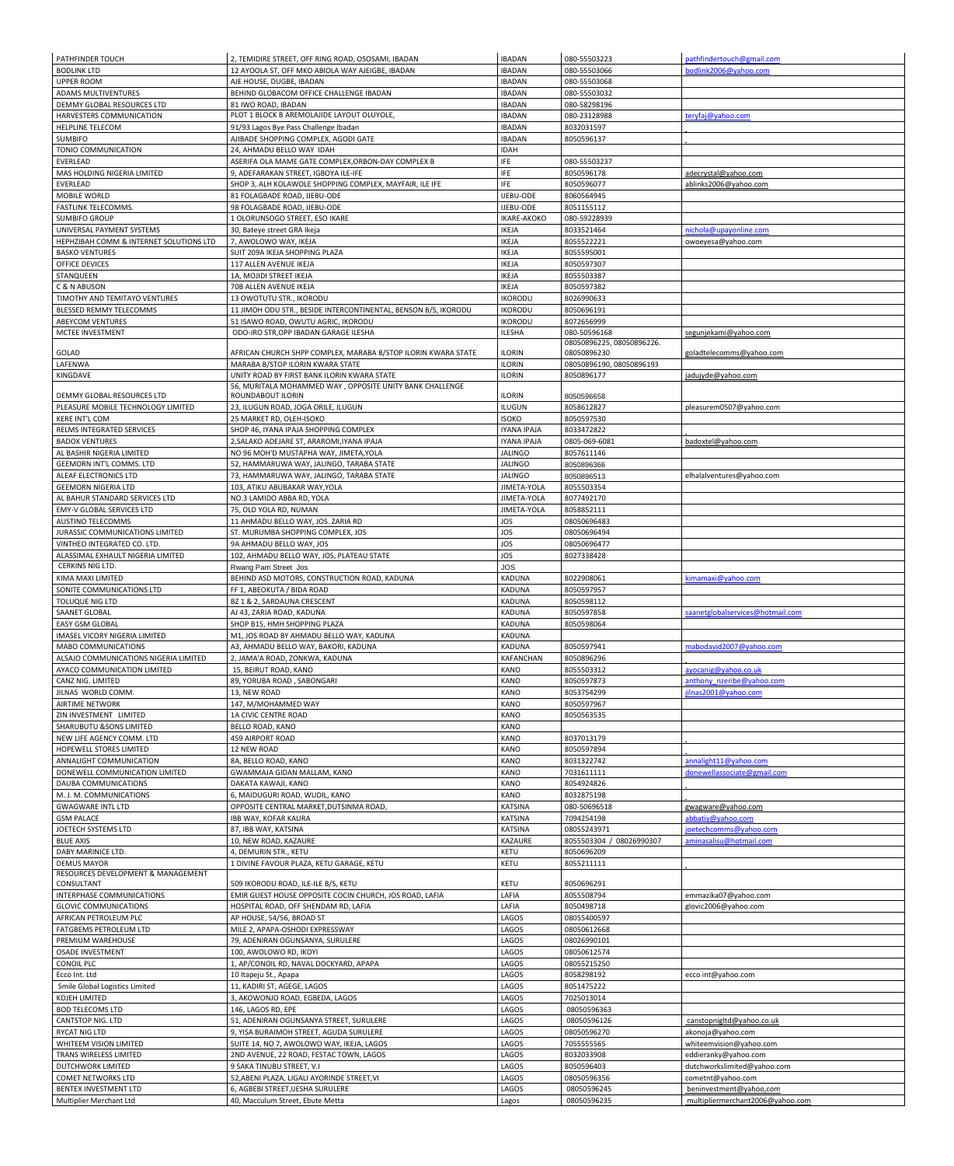| PATHFINDER TOUCH                                      | 2, TEMIDIRE STREET, OFF RING ROAD, OSOSAMI, IBADAN                                              | <b>IBADAN</b>                  | 080-55503223              | pathfindertouch@gmail.com                    |
|-------------------------------------------------------|-------------------------------------------------------------------------------------------------|--------------------------------|---------------------------|----------------------------------------------|
| <b>BODLINK LTD</b>                                    | 12 AYOOLA ST, OFF MKO ABIOLA WAY AJEIGBE, IBADAN                                                | <b>IBADAN</b>                  | 080-55503066              | bodlink2006@yahoo.com                        |
| <b>UPPER ROOM</b>                                     | AJE HOUSE, DUGBE, IBADAN                                                                        | <b>IBADAN</b>                  | 080-55503068              |                                              |
| <b>ADAMS MULTIVENTURES</b>                            | BEHIND GLOBACOM OFFICE CHALLENGE IBADAN                                                         | <b>IBADAN</b>                  | 080-55503032              |                                              |
| DEMMY GLOBAL RESOURCES LTD                            | 81 IWO ROAD, IBADAN                                                                             | <b>IBADAN</b>                  | 080-58298196              |                                              |
| HARVESTERS COMMUNICATION                              | PLOT 1 BLOCK B AREMOLAJIDE LAYOUT OLUYOLE,                                                      | <b>IBADAN</b>                  | 080-23128988              | teryfaj@yahoo.com                            |
| <b>HELPLINE TELECOM</b>                               | 91/93 Lagos Bye Pass Challenge Ibadan                                                           | <b>IBADAN</b>                  | 8032031597                |                                              |
| <b>SUMBIFO</b>                                        | AJIBADE SHOPPING COMPLEX, AGODI GATE                                                            | <b>IBADAN</b>                  | 8050596137                |                                              |
| TONIO COMMUNICATION                                   | 24, AHMADU BELLO WAY IDAH                                                                       | <b>IDAH</b>                    |                           |                                              |
| EVERLEAD                                              | ASERIFA OLA MAME GATE COMPLEX, ORBON-DAY COMPLEX B                                              | <b>IFE</b>                     | 080-55503237              |                                              |
| MAS HOLDING NIGERIA LIMITED                           | 9, ADEFARAKAN STREET, IGBOYA ILE-IFE                                                            | <b>IFE</b>                     | 8050596178                | adecrystal@yahoo.com                         |
| EVERLEAD                                              | SHOP 3, ALH KOLAWOLE SHOPPING COMPLEX, MAYFAIR, ILE IFE                                         | <b>IFE</b>                     | 8050596077                | ablinks2006@yahoo.com                        |
| MOBILE WORLD                                          | 81 FOLAGBADE ROAD, IJEBU-ODE                                                                    | IJEBU-ODE                      | 8060564945                |                                              |
| FASTLINK TELECOMMS.                                   | 98 FOLAGBADE ROAD, IJEBU-ODE                                                                    | IJEBU-ODE                      | 8051155112                |                                              |
| <b>SUMBIFO GROUP</b>                                  | 1 OLORUNSOGO STREET, ESO IKARE                                                                  | <b>IKARE-AKOKO</b>             | 080-59228939              |                                              |
| UNIVERSAL PAYMENT SYSTEMS                             | 30, Bateye street GRA Ikeja                                                                     | <b>IKEJA</b>                   | 8033521464                | nichola@upayonline.com                       |
| HEPHZIBAH COMM & INTERNET SOLUTIONS LTD               | 7, AWOLOWO WAY, IKEJA                                                                           | <b>IKEJA</b>                   | 8055522221                | owoeyesa@yahoo.com                           |
| <b>BASKO VENTURES</b>                                 | SUIT 209A IKEJA SHOPPING PLAZA                                                                  | <b>IKEJA</b>                   | 8055595001                |                                              |
| <b>OFFICE DEVICES</b><br>STANQUEEN                    | 117 ALLEN AVENUE IKEJA<br>1A, MOJIDI STREET IKEJA                                               | <b>IKEJA</b><br><b>IKEJA</b>   | 8050597307<br>8055503387  |                                              |
| C & N ABUSON                                          | 70B ALLEN AVENUE IKEJA                                                                          | <b>IKEJA</b>                   | 8050597382                |                                              |
| TIMOTHY AND TEMITAYO VENTURES                         | 13 OWOTUTU STR., IKORODU                                                                        | <b>IKORODU</b>                 | 8026990633                |                                              |
| <b>BLESSED REMMY TELECOMMS</b>                        | 11 JIMOH ODU STR., BESIDE INTERCONTINENTAL, BENSON B/S, IKORODU                                 | <b>IKORODU</b>                 | 8050696191                |                                              |
| <b>ABEYCOM VENTURES</b>                               | 51 ISAWO ROAD, OWUTU AGRIC, IKORODU                                                             | <b>IKORODU</b>                 | 8072656999                |                                              |
| MCTEE INVESTMENT                                      | ODO-IRO STR, OPP IBADAN GARAGE ILESHA                                                           | <b>ILESHA</b>                  | 080-50596168              | segunjekami@yahoo.com                        |
|                                                       |                                                                                                 |                                | 08050896225, 08050896226. |                                              |
| GOLAD                                                 | AFRICAN CHURCH SHPP COMPLEX, MARABA B/STOP ILORIN KWARA STATE                                   | <b>ILORIN</b>                  | 08050896230               | goladtelecomms@yahoo.com                     |
| LAFENWA                                               | MARABA B/STOP ILORIN KWARA STATE                                                                | <b>ILORIN</b>                  | 08050896190, 08050896193  |                                              |
| KINGDAVE                                              | UNITY ROAD BY FIRST BANK ILORIN KWARA STATE                                                     | <b>ILORIN</b>                  | 8050896177                | jadujyde@yahoo.com                           |
|                                                       | 56, MURITALA MOHAMMED WAY, OPPOSITE UNITY BANK CHALLENGE                                        |                                |                           |                                              |
| DEMMY GLOBAL RESOURCES LTD                            | ROUNDABOUT ILORIN                                                                               | <b>ILORIN</b>                  | 8050596658                |                                              |
| PLEASURE MOBILE TECHNOLOGY LIMITED                    | 23, ILUGUN ROAD, JOGA ORILE, ILUGUN                                                             | ILUGUN                         | 8058612827                | pleasurem0507@yahoo.com                      |
| <b>KERE INT'L COM</b>                                 | 25 MARKET RD, OLEH-ISOKO                                                                        | <b>ISOKO</b>                   | 8050597530                |                                              |
| RELMS INTEGRATED SERVICES                             | SHOP 46, IYANA IPAJA SHOPPING COMPLEX                                                           | <b>IYANA IPAJA</b>             | 8033472822                |                                              |
| <b>BADOX VENTURES</b>                                 | 2, SALAKO ADEJARE ST, ARAROMI, IYANA IPAJA                                                      | <b>IYANA IPAJA</b>             | 0805-069-6081             | badoxtel@yahoo.com                           |
| AL BASHIR NIGERIA LIMITED                             | NO 96 MOH'D MUSTAPHA WAY, JIMETA, YOLA                                                          | <b>JALINGO</b>                 | 8057611146                |                                              |
| <b>GEEMORN INT'L COMMS. LTD</b>                       | 52, HAMMARUWA WAY, JALINGO, TARABA STATE                                                        | <b>JALINGO</b>                 | 8050896366                |                                              |
| ALEAF ELECTRONICS LTD                                 | 73, HAMMARUWA WAY, JALINGO, TARABA STATE                                                        | <b>JALINGO</b>                 | 8050896513                | elhalalventures@yahoo.com                    |
| <b>GEEMORN NIGERIA LTD</b>                            | 103, ATIKU ABUBAKAR WAY, YOLA                                                                   | JIMETA-YOLA                    | 8055503354                |                                              |
| AL BAHUR STANDARD SERVICES LTD                        | NO.3 LAMIDO ABBA RD, YOLA                                                                       | JIMETA-YOLA                    | 8077492170                |                                              |
| <b>EMY-V GLOBAL SERVICES LTD</b>                      | 75, OLD YOLA RD, NUMAN                                                                          | JIMETA-YOLA                    | 8058852111                |                                              |
| <b>AUSTINO TELECOMMS</b>                              | 11 AHMADU BELLO WAY, JOS. ZARIA RD                                                              | <b>JOS</b>                     | 08050696483               |                                              |
| <b>JURASSIC COMMUNICATIONS LIMITED</b>                | ST. MURUMBA SHOPPING COMPLEX, JOS                                                               | JOS                            | 08050696494               |                                              |
| VINTHEO INTEGRATED CO. LTD.                           | 9A AHMADU BELLO WAY, JOS                                                                        | JOS                            | 08050696477               |                                              |
| ALASSIMAL EXHAULT NIGERIA LIMITED<br>CERKINS NIG LTD. | 102, AHMADU BELLO WAY, JOS, PLATEAU STATE                                                       | JOS                            | 8027338428                |                                              |
|                                                       | Rwang Pam Street Jos                                                                            | <b>JOS</b>                     | 8022908061                |                                              |
| KIMA MAXI LIMITED<br>SONITE COMMUNICATIONS LTD        | BEHIND ASD MOTORS, CONSTRUCTION ROAD, KADUNA<br>FF 1, ABEOKUTA / BIDA ROAD                      | <b>KADUNA</b><br><b>KADUNA</b> | 8050597957                | kimamaxi@yahoo.com                           |
| <b>TOLUQUE NIG LTD</b>                                | BZ 1 & 2, SARDAUNA CRESCENT                                                                     | <b>KADUNA</b>                  | 8050598112                |                                              |
| SAANET GLOBAL                                         | AJ 43, ZARIA ROAD, KADUNA                                                                       | KADUNA                         | 8050597858                | saanetglobalservices@hotmail.com             |
| <b>EASY GSM GLOBAL</b>                                | SHOP B15, HMH SHOPPING PLAZA                                                                    | <b>KADUNA</b>                  | 8050598064                |                                              |
| <b>IMASEL VICORY NIGERIA LIMITED</b>                  | M1, JOS ROAD BY AHMADU BELLO WAY, KADUNA                                                        | <b>KADUNA</b>                  |                           |                                              |
| <b>MABO COMMUNICATIONS</b>                            | A3, AHMADU BELLO WAY, BAKORI, KADUNA                                                            | <b>KADUNA</b>                  | 8050597941                | mabodavid2007@yahoo.com                      |
| ALSAJO COMMUNICATIONS NIGERIA LIMITED                 | 2, JAMA'A ROAD, ZONKWA, KADUNA                                                                  | <b>KAFANCHAN</b>               | 8050896296                |                                              |
| AYACO COMMUNICATION LIMITED                           | 15, BEIRUT ROAD, KANO                                                                           | <b>KANO</b>                    | 8055503312                | ayocanig@yahoo.co.uk                         |
| CANZ NIG. LIMITED                                     | 89, YORUBA ROAD, SABONGARI                                                                      | <b>KANO</b>                    | 8050597873                | anthony nzeribe@yahoo.com                    |
| JILNAS WORLD COMM.                                    | 13, NEW ROAD                                                                                    | <b>KANO</b>                    | 8053754299                | jilnas2001@yahoo.com                         |
| <b>AIRTIME NETWORK</b>                                | 147, M/MOHAMMED WAY                                                                             | <b>KANO</b>                    | 8050597967                |                                              |
| ZIN INVESTMENT LIMITED                                | 1A CIVIC CENTRE ROAD                                                                            | KANO                           | 8050563535                |                                              |
| <b>SHARUBUTU &amp;SONS LIMITED</b>                    | <b>BELLO ROAD, KANO</b>                                                                         | <b>KANO</b>                    |                           |                                              |
| NEW LIFE AGENCY COMM. LTD                             | <b>459 AIRPORT ROAD</b>                                                                         | <b>KANO</b>                    | 8037013179                |                                              |
| HOPEWELL STORES LIMITED                               | 12 NEW ROAD                                                                                     | <b>KANO</b>                    | 8050597894                |                                              |
| ANNALIGHT COMMUNICATION                               | 8A, BELLO ROAD, KANO                                                                            | <b>KANO</b>                    | 8031322742                | annalight11@yahoo.com                        |
| DONEWELL COMMUNICATION LIMITED                        | GWAMMAJA GIDAN MALLAM, KANO                                                                     | <b>KANO</b>                    | 7031611111                | donewellassociate@gmail.com                  |
| DAUBA COMMUNICATIONS                                  | DAKATA KAWAJI, KANO                                                                             | <b>KANO</b>                    | 8054924826                |                                              |
| M. J. M. COMMUNICATIONS                               | 6, MAIDUGURI ROAD, WUDIL, KANO                                                                  | <b>KANO</b>                    | 8032875198                |                                              |
| <b>GWAGWARE INTL LTD</b>                              | OPPOSITE CENTRAL MARKET, DUTSINMA ROAD,                                                         | <b>KATSINA</b>                 | 080-50696518              | gwagware@yahoo.com                           |
| <b>GSM PALACE</b>                                     | IBB WAY, KOFAR KAURA                                                                            | <b>KATSINA</b>                 | 7094254198                | abbatiy@yahoo.com                            |
| JOETECH SYSTEMS LTD                                   | 87, IBB WAY, KATSINA                                                                            | <b>KATSINA</b>                 | 08055243971               | joetechcomms@yahoo.com                       |
| <b>BLUE AXIS</b>                                      | 10, NEW ROAD, KAZAURE                                                                           | <b>KAZAURE</b>                 | 8055503304 / 08026990307  | aminasalisu@hotmail.com                      |
| DABY MARINICE LTD.                                    | 4, DEMURIN STR., KETU                                                                           | <b>KETU</b>                    | 8050696209                |                                              |
| <b>DEMUS MAYOR</b>                                    | 1 DIVINE FAVOUR PLAZA, KETU GARAGE, KETU                                                        | <b>KETU</b>                    | 8055211111                |                                              |
| RESOURCES DEVELOPMENT & MANAGEMENT<br>CONSULTANT      | 509 IKORODU ROAD, ILE-ILE B/S, KETU                                                             | <b>KETU</b>                    | 8050696291                |                                              |
| INTERPHASE COMMUNICATIONS                             |                                                                                                 | LAFIA                          | 8055508794                |                                              |
| <b>GLOVIC COMMUNICATIONS</b>                          | EMIR GUEST HOUSE OPPOSITE COCIN CHURCH, JOS ROAD, LAFIA<br>HOSPITAL ROAD, OFF SHENDAM RD, LAFIA | LAFIA                          | 8050498718                | emmazika07@yahoo.com<br>glovic2006@yahoo.com |
| AFRICAN PETROLEUM PLC                                 | AP HOUSE, 54/56, BROAD ST                                                                       | LAGOS                          | 08055400597               |                                              |
| <b>FATGBEMS PETROLEUM LTD</b>                         | MILE 2, APAPA-OSHODI EXPRESSWAY                                                                 | LAGOS                          | 08050612668               |                                              |
| PREMIUM WAREHOUSE                                     | 79, ADENIRAN OGUNSANYA, SURULERE                                                                | LAGOS                          | 08026990101               |                                              |
| <b>OSADE INVESTMENT</b>                               | 100, AWOLOWO RD, IKOYI                                                                          | <b>LAGOS</b>                   | 08050612574               |                                              |
| <b>CONOIL PLC</b>                                     | 1, AP/CONOIL RD, NAVAL DOCKYARD, APAPA                                                          | LAGOS                          | 08055215250               |                                              |
| Ecco Int. Ltd                                         | 10 Itapeju St., Apapa                                                                           | LAGOS                          | 8058298192                | ecco int@yahoo.com                           |
| Smile Global Logistics Limited                        | 11, KADIRI ST, AGEGE, LAGOS                                                                     | LAGOS                          | 8051475222                |                                              |
| <b>KOJEH LIMITED</b>                                  | 3, AKOWONJO ROAD, EGBEDA, LAGOS                                                                 | LAGOS                          | 7025013014                |                                              |
| <b>BOD TELECOMS LTD</b>                               | 146, LAGOS RD, EPE                                                                              | <b>LAGOS</b>                   | 08050596363               |                                              |
| <b>CANTSTOP NIG. LTD</b>                              | 51, ADENIRAN OGUNSANYA STREET, SURULERE                                                         | <b>LAGOS</b>                   | 08050596126               | canstopnigItd@yahoo.co.uk                    |
| <b>RYCAT NIG LTD</b>                                  | 9, YISA BURAIMOH STREET, AGUDA SURULERE                                                         | LAGOS                          | 08050596270               | akonoja@yahoo.com                            |
| WHITEEM VISION LIMITED                                | SUITE 14, NO 7, AWOLOWO WAY, IKEJA, LAGOS                                                       | LAGOS                          | 7055555565                | whiteemvision@yahoo.com                      |
| TRANS WIRELESS LIMITED                                | 2ND AVENUE, 22 ROAD, FESTAC TOWN, LAGOS                                                         | LAGOS                          | 8032033908                | eddieranky@yahoo.com                         |
| <b>DUTCHWORK LIMITED</b>                              | 9 SAKA TINUBU STREET, V.I                                                                       | LAGOS                          | 8050596403                | dutchworkslimited@yahoo.com                  |
| <b>COMET NETWORKS LTD</b>                             | 52, ABENI PLAZA, LIGALI AYORINDE STREET, VI                                                     | LAGOS                          | 08050596356               | cometnt@yahoo.com                            |
| BENTEX INVESTMENT LTD                                 | 6, AGBEBI STREET, IJESHA SURULERE                                                               | LAGOS                          | 08050596245               | beninvestment@yahoo,com                      |
| Multiplier Merchant Ltd                               | 40, Macculum Street, Ebute Metta                                                                | Lagos                          | 08050596235               | multipliermerchant2006@yahoo.com             |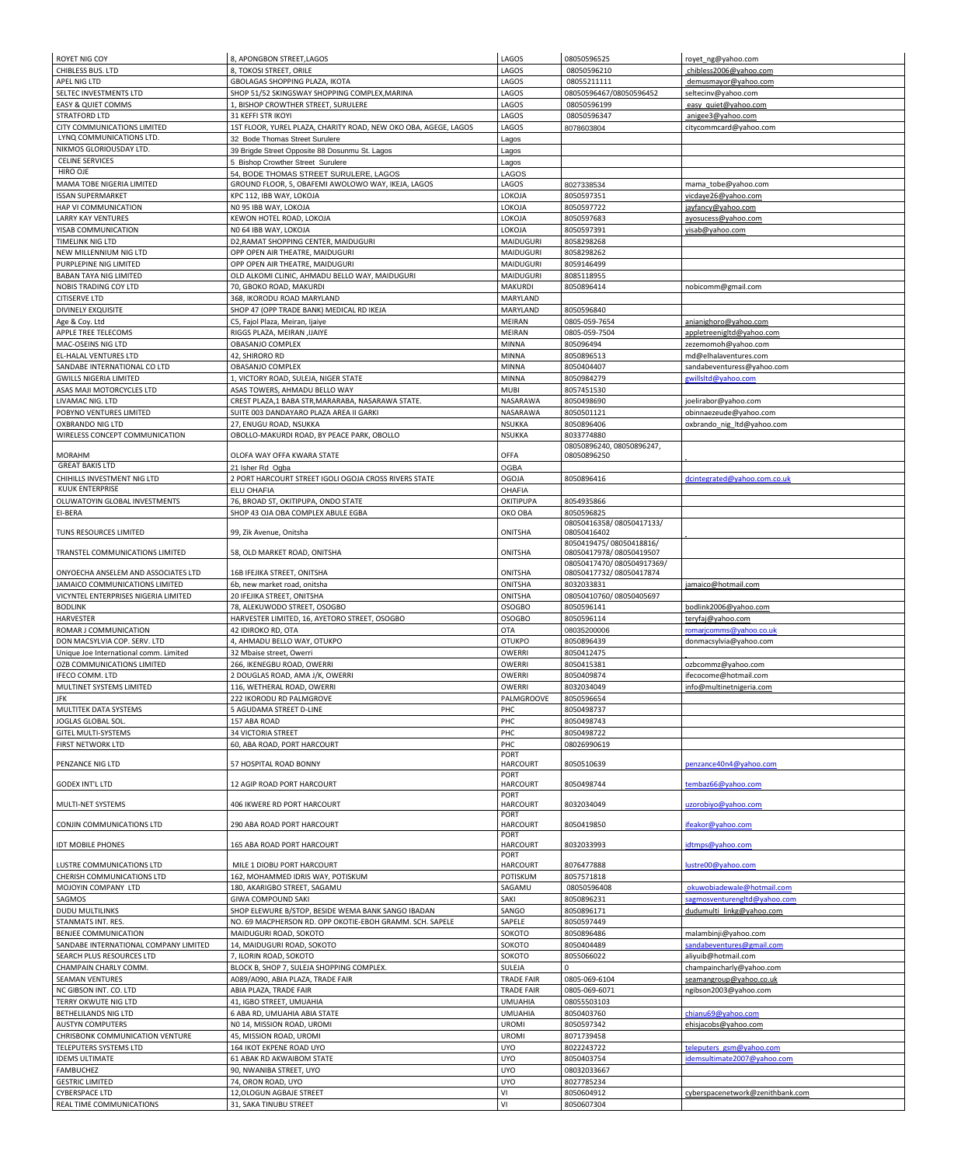| <b>ROYET NIG COY</b>                   | 8, APONGBON STREET, LAGOS                                       | LAGOS                          | 08050596525                                        | royet_ng@yahoo.com               |
|----------------------------------------|-----------------------------------------------------------------|--------------------------------|----------------------------------------------------|----------------------------------|
| <b>CHIBLESS BUS. LTD</b>               | 8, TOKOSI STREET, ORILE                                         | LAGOS                          | 08050596210                                        | chibless2006@yahoo.com           |
| APEL NIG LTD                           | GBOLAGAS SHOPPING PLAZA, IKOTA                                  | LAGOS                          | 08055211111                                        | demusmayor@yahoo.com             |
| SELTEC INVESTMENTS LTD                 | SHOP 51/52 SKINGSWAY SHOPPING COMPLEX, MARINA                   | LAGOS                          | 08050596467/08050596452                            | seltecinv@yahoo.com              |
| <b>EASY &amp; QUIET COMMS</b>          | 1, BISHOP CROWTHER STREET, SURULERE                             | LAGOS                          | 08050596199                                        | easy quiet@yahoo.com             |
| <b>STRATFORD LTD</b>                   | 31 KEFFI STR IKOYI                                              | LAGOS                          | 08050596347                                        | anigee3@yahoo.com                |
| <b>CITY COMMUNICATIONS LIMITED</b>     | 1ST FLOOR, YUREL PLAZA, CHARITY ROAD, NEW OKO OBA, AGEGE, LAGOS | LAGOS                          | 8078603804                                         | citycommcard@yahoo.com           |
| LYNQ COMMUNICATIONS LTD.               | 32 Bode Thomas Street Surulere                                  | Lagos                          |                                                    |                                  |
| NIKMOS GLORIOUSDAY LTD.                | 39 Brigde Street Opposite 88 Dosunmu St. Lagos                  | Lagos                          |                                                    |                                  |
| <b>CELINE SERVICES</b>                 | 5 Bishop Crowther Street Surulere                               | Lagos                          |                                                    |                                  |
| HIRO OJE                               | 54, BODE THOMAS STREET SURULERE, LAGOS                          | <b>LAGOS</b>                   |                                                    |                                  |
| MAMA TOBE NIGERIA LIMITED              | GROUND FLOOR, 5, OBAFEMI AWOLOWO WAY, IKEJA, LAGOS              | LAGOS                          | 8027338534                                         | mama_tobe@yahoo.com              |
| <b>ISSAN SUPERMARKET</b>               | KPC 112, IBB WAY, LOKOJA                                        | LOKOJA                         | 8050597351                                         | vicdaye26@yahoo.com              |
| HAP VI COMMUNICATION                   | NO 95 IBB WAY, LOKOJA                                           | LOKOJA                         | 8050597722                                         | jayfancy@yahoo.com               |
| <b>LARRY KAY VENTURES</b>              | KEWON HOTEL ROAD, LOKOJA                                        | LOKOJA                         | 8050597683                                         | ayosucess@yahoo.com              |
| YISAB COMMUNICATION                    | NO 64 IBB WAY, LOKOJA                                           | LOKOJA                         | 8050597391                                         | yisab@yahoo.com                  |
| <b>TIMELINK NIG LTD</b>                | D2, RAMAT SHOPPING CENTER, MAIDUGURI                            | <b>MAIDUGURI</b>               | 8058298268                                         |                                  |
| NEW MILLENNIUM NIG LTD                 | OPP OPEN AIR THEATRE, MAIDUGURI                                 | <b>MAIDUGURI</b>               | 8058298262                                         |                                  |
| PURPLEPINE NIG LIMITED                 | OPP OPEN AIR THEATRE, MAIDUGURI                                 | <b>MAIDUGURI</b>               | 8059146499                                         |                                  |
| <b>BABAN TAYA NIG LIMITED</b>          | OLD ALKOMI CLINIC, AHMADU BELLO WAY, MAIDUGURI                  | <b>MAIDUGURI</b>               | 8085118955                                         |                                  |
| <b>NOBIS TRADING COY LTD</b>           | 70, GBOKO ROAD, MAKURDI                                         | <b>MAKURDI</b>                 | 8050896414                                         | nobicomm@gmail.com               |
| <b>CITISERVE LTD</b>                   | 368, IKORODU ROAD MARYLAND                                      | MARYLAND                       |                                                    |                                  |
| <b>DIVINELY EXQUISITE</b>              | SHOP 47 (OPP TRADE BANK) MEDICAL RD IKEJA                       | <b>MARYLAND</b>                | 8050596840                                         |                                  |
| Age & Coy. Ltd                         | C5, Fajol Plaza, Meiran, Ijaiye                                 | <b>MEIRAN</b>                  | 0805-059-7654                                      | anianighoro@yahoo.com            |
| APPLE TREE TELECOMS                    | RIGGS PLAZA, MEIRAN , IJAIYE                                    | <b>MEIRAN</b>                  | 0805-059-7504                                      | appletreenigitd@yahoo.com        |
| MAC-OSEINS NIG LTD                     | <b>OBASANJO COMPLEX</b>                                         | <b>MINNA</b>                   | 805096494                                          | zezemomoh@yahoo.com              |
| <b>EL-HALAL VENTURES LTD</b>           | 42, SHIRORO RD                                                  | <b>MINNA</b>                   | 8050896513                                         | md@elhalaventures.com            |
| SANDABE INTERNATIONAL CO LTD           | OBASANJO COMPLEX                                                | <b>MINNA</b>                   | 8050404407                                         | sandabeventuress@yahoo.com       |
| <b>GWILLS NIGERIA LIMITED</b>          | 1, VICTORY ROAD, SULEJA, NIGER STATE                            | <b>MINNA</b>                   | 8050984279                                         | gwillsltd@yahoo.com              |
| ASAS MAJI MOTORCYCLES LTD              | ASAS TOWERS, AHMADU BELLO WAY                                   | <b>MUBI</b>                    | 8057451530                                         |                                  |
| LIVAMAC NIG. LTD                       | CREST PLAZA, 1 BABA STR, MARARABA, NASARAWA STATE.              | NASARAWA                       | 8050498690                                         | joelirabor@yahoo.com             |
| POBYNO VENTURES LIMITED                | SUITE 003 DANDAYARO PLAZA AREA II GARKI                         | NASARAWA                       | 8050501121                                         | obinnaezeude@yahoo.com           |
| <b>OXBRANDO NIG LTD</b>                | 27, ENUGU ROAD, NSUKKA                                          | <b>NSUKKA</b>                  | 8050896406                                         | oxbrando_nig_ltd@yahoo.com       |
| <b>WIRELESS CONCEPT COMMUNICATION</b>  | OBOLLO-MAKURDI ROAD, BY PEACE PARK, OBOLLO                      | <b>NSUKKA</b>                  | 8033774880                                         |                                  |
|                                        |                                                                 |                                | 08050896240, 08050896247,                          |                                  |
| <b>MORAHM</b>                          | OLOFA WAY OFFA KWARA STATE                                      | <b>OFFA</b>                    | 08050896250                                        |                                  |
| <b>GREAT BAKIS LTD</b>                 | 21 Isher Rd Ogba                                                | <b>OGBA</b>                    |                                                    |                                  |
| CHIHILLS INVESTMENT NIG LTD            | 2 PORT HARCOURT STREET IGOLI OGOJA CROSS RIVERS STATE           | <b>OGOJA</b>                   | 8050896416                                         | dcintegrated@yahoo.com.co.uk     |
| KUUK ENTERPRISE                        | <b>ELU OHAFIA</b>                                               | <b>OHAFIA</b>                  |                                                    |                                  |
| OLUWATOYIN GLOBAL INVESTMENTS          | 76, BROAD ST, OKITIPUPA, ONDO STATE                             | <b>OKITIPUPA</b>               | 8054935866                                         |                                  |
| EI-BERA                                | SHOP 43 OJA OBA COMPLEX ABULE EGBA                              | OKO OBA                        | 8050596825                                         |                                  |
|                                        |                                                                 |                                | 08050416358/08050417133/                           |                                  |
| TUNS RESOURCES LIMITED                 | 99, Zik Avenue, Onitsha                                         | <b>ONITSHA</b>                 | 08050416402                                        |                                  |
| TRANSTEL COMMUNICATIONS LIMITED        | 58, OLD MARKET ROAD, ONITSHA                                    | <b>ONITSHA</b>                 | 8050419475/08050418816/<br>08050417978/08050419507 |                                  |
|                                        |                                                                 |                                | 08050417470/080504917369/                          |                                  |
| ONYOECHA ANSELEM AND ASSOCIATES LTD    | 16B IFEJIKA STREET, ONITSHA                                     | <b>ONITSHA</b>                 | 08050417732/08050417874                            |                                  |
| JAMAICO COMMUNICATIONS LIMITED         | 6b, new market road, onitsha                                    | <b>ONITSHA</b>                 | 8032033831                                         | jamaico@hotmail.com              |
| VICYNTEL ENTERPRISES NIGERIA LIMITED   | 20 IFEJIKA STREET, ONITSHA                                      | <b>ONITSHA</b>                 | 08050410760/08050405697                            |                                  |
| <b>BODLINK</b>                         | 78, ALEKUWODO STREET, OSOGBO                                    | <b>OSOGBO</b>                  | 8050596141                                         | bodlink2006@yahoo.com            |
| <b>HARVESTER</b>                       | HARVESTER LIMITED, 16, AYETORO STREET, OSOGBO                   | <b>OSOGBO</b>                  | 8050596114                                         | teryfaj@yahoo.com                |
| ROMAR J COMMUNICATION                  | 42 IDIROKO RD, OTA                                              | <b>OTA</b>                     | 08035200006                                        | romarjcomms@yahoo.co.uk          |
| DON MACSYLVIA COP. SERV. LTD           | 4, AHMADU BELLO WAY, OTUKPO                                     | <b>OTUKPO</b>                  | 8050896439                                         | donmacsylvia@yahoo.com           |
| Unique Joe International comm. Limited | 32 Mbaise street, Owerri                                        | <b>OWERRI</b>                  | 8050412475                                         |                                  |
| <b>OZB COMMUNICATIONS LIMITED</b>      | 266, IKENEGBU ROAD, OWERRI                                      | <b>OWERRI</b>                  | 8050415381                                         | ozbcommz@yahoo.com               |
| <b>IFECO COMM. LTD</b>                 | 2 DOUGLAS ROAD, AMA J/K, OWERRI                                 | <b>OWERRI</b>                  | 8050409874                                         | ifecocome@hotmail.com            |
| MULTINET SYSTEMS LIMITED               | 116, WETHERAL ROAD, OWERRI                                      | <b>OWERRI</b>                  | 8032034049                                         | info@multinetnigeria.com         |
| <b>JFK</b>                             | 222 IKORODU RD PALMGROVE                                        | PALMGROOVE                     | 8050596654                                         |                                  |
| MULTITEK DATA SYSTEMS                  | 5 AGUDAMA STREET D-LINE                                         | PHC                            | 8050498737                                         |                                  |
| JOGLAS GLOBAL SOL.                     | 157 ABA ROAD                                                    | PHC                            | 8050498743                                         |                                  |
| <b>GITEL MULTI-SYSTEMS</b>             | <b>34 VICTORIA STREET</b>                                       | PHC                            | 8050498722                                         |                                  |
| <b>FIRST NETWORK LTD</b>               | 60, ABA ROAD, PORT HARCOURT                                     | PHC                            | 08026990619                                        |                                  |
|                                        |                                                                 | PORT                           |                                                    |                                  |
| PENZANCE NIG LTD                       | 57 HOSPITAL ROAD BONNY                                          | <b>HARCOURT</b>                | 8050510639                                         | penzance40n4@yahoo.com           |
|                                        |                                                                 | <b>PORT</b>                    |                                                    |                                  |
| <b>GODEX INT'L LTD</b>                 | 12 AGIP ROAD PORT HARCOURT                                      | <b>HARCOURT</b>                | 8050498744                                         | tembaz66@yahoo.com               |
| MULTI-NET SYSTEMS                      | 406 IKWERE RD PORT HARCOURT                                     | <b>PORT</b><br><b>HARCOURT</b> | 8032034049                                         | uzorobiyo@yahoo.com              |
|                                        |                                                                 | <b>PORT</b>                    |                                                    |                                  |
| <b>CONJIN COMMUNICATIONS LTD</b>       | 290 ABA ROAD PORT HARCOURT                                      | <b>HARCOURT</b>                | 8050419850                                         | ifeakor@yahoo.com                |
|                                        |                                                                 | <b>PORT</b>                    |                                                    |                                  |
| <b>IDT MOBILE PHONES</b>               | 165 ABA ROAD PORT HARCOURT                                      | <b>HARCOURT</b>                | 8032033993                                         | idtmps@yahoo.com                 |
|                                        |                                                                 | <b>PORT</b>                    |                                                    |                                  |
| LUSTRE COMMUNICATIONS LTD              | MILE 1 DIOBU PORT HARCOURT                                      | <b>HARCOURT</b>                | 8076477888                                         | lustre00@yahoo.com               |
| <b>CHERISH COMMUNICATIONS LTD</b>      | 162, MOHAMMED IDRIS WAY, POTISKUM                               | POTISKUM                       | 8057571818                                         |                                  |
| MOJOYIN COMPANY LTD                    | 180, AKARIGBO STREET, SAGAMU                                    | SAGAMU                         | 08050596408                                        | okuwobiadewale@hotmail.com       |
| SAGMOS                                 | <b>GIWA COMPOUND SAKI</b>                                       | SAKI                           | 8050896231                                         | sagmosventurengltd@yahoo.com     |
| <b>DUDU MULTILINKS</b>                 | SHOP ELEWURE B/STOP, BESIDE WEMA BANK SANGO IBADAN              | SANGO                          | 8050896171                                         | dudumulti linkg@yahoo.com        |
| STANMATS INT. RES.                     | NO. 69 MACPHERSON RD. OPP OKOTIE-EBOH GRAMM. SCH. SAPELE        | SAPELE                         | 8050597449                                         |                                  |
| <b>BENJEE COMMUNICATION</b>            | MAIDUGURI ROAD, SOKOTO                                          | SOKOTO                         | 8050896486                                         | malambinji@yahoo.com             |
| SANDABE INTERNATIONAL COMPANY LIMITED  | 14, MAIDUGURI ROAD, SOKOTO                                      | SOKOTO                         | 8050404489                                         | sandabeventures@gmail.com        |
| SEARCH PLUS RESOURCES LTD              | 7, ILORIN ROAD, SOKOTO                                          | SOKOTO                         | 8055066022                                         | aliyuib@hotmail.com              |
| CHAMPAIN CHARLY COMM.                  | BLOCK B, SHOP 7, SULEJA SHOPPING COMPLEX.                       | SULEJA                         |                                                    | champaincharly@yahoo.com         |
| <b>SEAMAN VENTURES</b>                 | A089/A090, ABIA PLAZA, TRADE FAIR                               | <b>TRADE FAIR</b>              | 0805-069-6104                                      | seamangroup@yahoo.co.uk          |
| NC GIBSON INT. CO. LTD                 | ABIA PLAZA, TRADE FAIR                                          | <b>TRADE FAIR</b>              | 0805-069-6071                                      | ngibson2003@yahoo.com            |
| TERRY OKWUTE NIG LTD                   | 41, IGBO STREET, UMUAHIA                                        | <b>UMUAHIA</b>                 | 08055503103                                        |                                  |
| BETHELILANDS NIG LTD                   | 6 ABA RD, UMUAHIA ABIA STATE                                    | <b>UMUAHIA</b>                 | 8050403760                                         | chianu69@yahoo.com               |
| <b>AUSTYN COMPUTERS</b>                | NO 14, MISSION ROAD, UROMI                                      | <b>UROMI</b>                   | 8050597342                                         | ehisjacobs@yahoo.com             |
| <b>CHRISBONK COMMUNICATION VENTURE</b> | 45, MISSION ROAD, UROMI                                         | <b>UROMI</b>                   | 8071739458                                         |                                  |
| TELEPUTERS SYSTEMS LTD                 | 164 IKOT EKPENE ROAD UYO                                        | <b>UYO</b>                     | 8022243722                                         | teleputers gsm@yahoo.com         |
| <b>IDEMS ULTIMATE</b>                  | 61 ABAK RD AKWAIBOM STATE                                       | <b>UYO</b>                     | 8050403754                                         | idemsultimate2007@yahoo.com      |
| <b>FAMBUCHEZ</b>                       | 90, NWANIBA STREET, UYO                                         | <b>UYO</b>                     | 08032033667                                        |                                  |
| <b>GESTRIC LIMITED</b>                 | 74, ORON ROAD, UYO                                              | <b>UYO</b>                     | 8027785234                                         |                                  |
| <b>CYBERSPACE LTD</b>                  | 12, OLOGUN AGBAJE STREET                                        | VI                             | 8050604912                                         | cyberspacenetwork@zenithbank.com |
| REAL TIME COMMUNICATIONS               | 31, SAKA TINUBU STREET                                          | VI                             | 8050607304                                         |                                  |